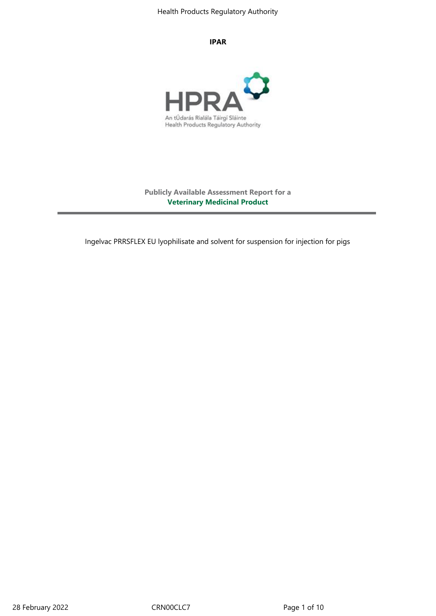#### **IPAR**



**Publicly Available Assessment Report for a Veterinary Medicinal Product**

Ingelvac PRRSFLEX EU lyophilisate and solvent for suspension for injection for pigs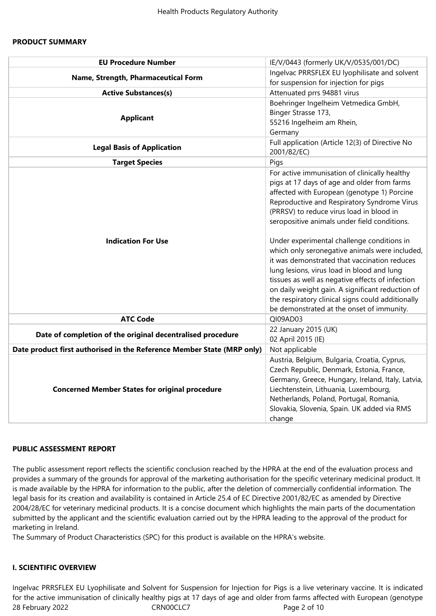#### **PRODUCT SUMMARY**

| <b>EU Procedure Number</b>                                             | IE/V/0443 (formerly UK/V/0535/001/DC)                                                                                                                                                                                                                                                                                                                                                                                                                                                                                                                                                                                                                                                          |  |  |  |  |
|------------------------------------------------------------------------|------------------------------------------------------------------------------------------------------------------------------------------------------------------------------------------------------------------------------------------------------------------------------------------------------------------------------------------------------------------------------------------------------------------------------------------------------------------------------------------------------------------------------------------------------------------------------------------------------------------------------------------------------------------------------------------------|--|--|--|--|
| Name, Strength, Pharmaceutical Form                                    | Ingelvac PRRSFLEX EU lyophilisate and solvent<br>for suspension for injection for pigs                                                                                                                                                                                                                                                                                                                                                                                                                                                                                                                                                                                                         |  |  |  |  |
| <b>Active Substances(s)</b>                                            | Attenuated prrs 94881 virus                                                                                                                                                                                                                                                                                                                                                                                                                                                                                                                                                                                                                                                                    |  |  |  |  |
| <b>Applicant</b>                                                       | Boehringer Ingelheim Vetmedica GmbH,<br>Binger Strasse 173,<br>55216 Ingelheim am Rhein,<br>Germany                                                                                                                                                                                                                                                                                                                                                                                                                                                                                                                                                                                            |  |  |  |  |
| <b>Legal Basis of Application</b>                                      | Full application (Article 12(3) of Directive No<br>2001/82/EC)                                                                                                                                                                                                                                                                                                                                                                                                                                                                                                                                                                                                                                 |  |  |  |  |
| <b>Target Species</b>                                                  | Pigs                                                                                                                                                                                                                                                                                                                                                                                                                                                                                                                                                                                                                                                                                           |  |  |  |  |
| <b>Indication For Use</b>                                              | For active immunisation of clinically healthy<br>pigs at 17 days of age and older from farms<br>affected with European (genotype 1) Porcine<br>Reproductive and Respiratory Syndrome Virus<br>(PRRSV) to reduce virus load in blood in<br>seropositive animals under field conditions.<br>Under experimental challenge conditions in<br>which only seronegative animals were included,<br>it was demonstrated that vaccination reduces<br>lung lesions, virus load in blood and lung<br>tissues as well as negative effects of infection<br>on daily weight gain. A significant reduction of<br>the respiratory clinical signs could additionally<br>be demonstrated at the onset of immunity. |  |  |  |  |
| <b>ATC Code</b>                                                        | QI09AD03                                                                                                                                                                                                                                                                                                                                                                                                                                                                                                                                                                                                                                                                                       |  |  |  |  |
| Date of completion of the original decentralised procedure             | 22 January 2015 (UK)<br>02 April 2015 (IE)                                                                                                                                                                                                                                                                                                                                                                                                                                                                                                                                                                                                                                                     |  |  |  |  |
| Date product first authorised in the Reference Member State (MRP only) | Not applicable                                                                                                                                                                                                                                                                                                                                                                                                                                                                                                                                                                                                                                                                                 |  |  |  |  |
| <b>Concerned Member States for original procedure</b>                  | Austria, Belgium, Bulgaria, Croatia, Cyprus,<br>Czech Republic, Denmark, Estonia, France,<br>Germany, Greece, Hungary, Ireland, Italy, Latvia,<br>Liechtenstein, Lithuania, Luxembourg,<br>Netherlands, Poland, Portugal, Romania,<br>Slovakia, Slovenia, Spain. UK added via RMS<br>change                                                                                                                                                                                                                                                                                                                                                                                                    |  |  |  |  |

#### **PUBLIC ASSESSMENT REPORT**

The public assessment report reflects the scientific conclusion reached by the HPRA at the end of the evaluation process and provides a summary of the grounds for approval of the marketing authorisation for the specific veterinary medicinal product. It is made available by the HPRA for information to the public, after the deletion of commercially confidential information. The legal basis for its creation and availability is contained in Article 25.4 of EC Directive 2001/82/EC as amended by Directive 2004/28/EC for veterinary medicinal products. It is a concise document which highlights the main parts of the documentation submitted by the applicant and the scientific evaluation carried out by the HPRA leading to the approval of the product for marketing in Ireland.

The Summary of Product Characteristics (SPC) for this product is available on the HPRA's website.

#### **I. SCIENTIFIC OVERVIEW**

28 February 2022 CRN00CLC7 CRNOCLC7 Ingelvac PRRSFLEX EU Lyophilisate and Solvent for Suspension for Injection for Pigs is a live veterinary vaccine. It is indicated for the active immunisation of clinically healthy pigs at 17 days of age and older from farms affected with European (genotype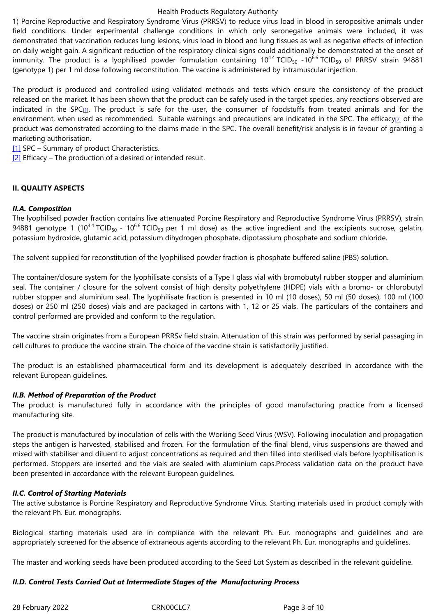demonstrated that vaccination reduces lung lesions, virus load in blood and lung tissues as well as negative effects of infection on daily weight gain. A significant reduction of the respiratory clinical signs could additionally be demonstrated at the onset of immunity. The product is a lyophilised powder formulation containing  $10^{4.4}$  TCID<sub>50</sub> -10<sup>6.6</sup> TCID<sub>50</sub> of PRRSV strain 94881 (genotype 1) per 1 ml dose following reconstitution. The vaccine is administered by intramuscular injection.

The product is produced and controlled using validated methods and tests which ensure the consistency of the product released on the market. It has been shown that the product can be safely used in the target species, any reactions observed are indicated in the SPC $_{11}$ . The product is safe for the user, the consumer of foodstuffs from treated animals and for the environment, when used as recommended. Suitable warnings and precautions are indicated in the SPC. The efficacy[2] of the product was demonstrated according to the claims made in the SPC. The overall benefit/risk analysis is in favour of granting a marketing authorisation.

[1] SPC – Summary of [pr](file:///C:/Users/flanagang/Documents/Ingelvac%20PRRSFLEX%20-%20Latest%20PuAR.DOC#_ftn1)oduct Characteristics.

 $[2]$  Efficacy – The production of a desired or intended result.

### **[II. Q](file:///C:/Users/flanagang/Documents/Ingelvac%20PRRSFLEX%20-%20Latest%20PuAR.DOC#_ftnref1)UALITY ASPECTS**

#### *II.A. Composition*

The lyophilised powder fraction contains live attenuated Porcine Respiratory and Reproductive Syndrome Virus (PRRSV), strain 94881 genotype 1 (10<sup>44</sup> TCID<sub>50</sub> - 10<sup>6.6</sup> TCID<sub>50</sub> per 1 ml dose) as the active ingredient and the excipients sucrose, gelatin, potassium hydroxide, glutamic acid, potassium dihydrogen phosphate, dipotassium phosphate and sodium chloride.

The solvent supplied for reconstitution of the lyophilised powder fraction is phosphate buffered saline (PBS) solution.

The container/closure system for the lyophilisate consists of a Type I glass vial with bromobutyl rubber stopper and aluminium seal. The container / closure for the solvent consist of high density polyethylene (HDPE) vials with a bromo- or chlorobutyl rubber stopper and aluminium seal. The lyophilisate fraction is presented in 10 ml (10 doses), 50 ml (50 doses), 100 ml (100 doses) or 250 ml (250 doses) vials and are packaged in cartons with 1, 12 or 25 vials. The particulars of the containers and control performed are provided and conform to the regulation.

The vaccine strain originates from a European PRRSv field strain. Attenuation of this strain was performed by serial passaging in cell cultures to produce the vaccine strain. The choice of the vaccine strain is satisfactorily justified.

The product is an established pharmaceutical form and its development is adequately described in accordance with the relevant European guidelines.

### *II.B. Method of Preparation of the Product*

The product is manufactured fully in accordance with the principles of good manufacturing practice from a licensed manufacturing site*.*

The product is manufactured by inoculation of cells with the Working Seed Virus (WSV). Following inoculation and propagation steps the antigen is harvested, stabilised and frozen. For the formulation of the final blend, virus suspensions are thawed and mixed with stabiliser and diluent to adjust concentrations as required and then filled into sterilised vials before lyophilisation is performed. Stoppers are inserted and the vials are sealed with aluminium caps.Process validation data on the product have been presented in accordance with the relevant European guidelines.

### *II.C. Control of Starting Materials*

The active substance is Porcine Respiratory and Reproductive Syndrome Virus. Starting materials used in product comply with the relevant Ph. Eur. monographs.

Biological starting materials used are in compliance with the relevant Ph. Eur. monographs and guidelines and are appropriately screened for the absence of extraneous agents according to the relevant Ph. Eur. monographs and guidelines.

The master and working seeds have been produced according to the Seed Lot System as described in the relevant guideline.

### *II.D. Control Tests Carried Out at Intermediate Stages of the Manufacturing Process*

28 February 2022 CRN00CLC7 Page 3 of 10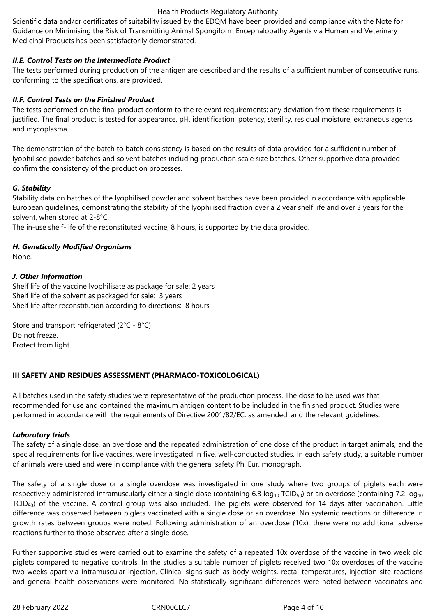Scientific data and/or certificates of suitability issued by the EDQM have been provided and compliance with the Note for Guidance on Minimising the Risk of Transmitting Animal Spongiform Encephalopathy Agents via Human and Veterinary Medicinal Products has been satisfactorily demonstrated.

# *II.E. Control Tests on the Intermediate Product*

The tests performed during production of the antigen are described and the results of a sufficient number of consecutive runs, conforming to the specifications, are provided.

# *II.F. Control Tests on the Finished Product*

The tests performed on the final product conform to the relevant requirements; any deviation from these requirements is justified. The final product is tested for appearance, pH, identification, potency, sterility, residual moisture, extraneous agents and mycoplasma.

The demonstration of the batch to batch consistency is based on the results of data provided for a sufficient number of lyophilised powder batches and solvent batches including production scale size batches. Other supportive data provided confirm the consistency of the production processes.

## *G. Stability*

Stability data on batches of the lyophilised powder and solvent batches have been provided in accordance with applicable European guidelines, demonstrating the stability of the lyophilised fraction over a 2 year shelf life and over 3 years for the solvent, when stored at 2-8°C.

The in-use shelf-life of the reconstituted vaccine, 8 hours, is supported by the data provided.

# *H. Genetically Modified Organisms*

None.

## *J. Other Information*

Shelf life of the vaccine lyophilisate as package for sale: 2 years Shelf life of the solvent as packaged for sale: 3 years Shelf life after reconstitution according to directions: 8 hours

Store and transport refrigerated (2°C - 8°C) Do not freeze. Protect from light.

### **III SAFETY AND RESIDUES ASSESSMENT (PHARMACO-TOXICOLOGICAL)**

All batches used in the safety studies were representative of the production process. The dose to be used was that recommended for use and contained the maximum antigen content to be included in the finished product. Studies were performed in accordance with the requirements of Directive 2001/82/EC, as amended, and the relevant guidelines.

### *Laboratory trials*

The safety of a single dose, an overdose and the repeated administration of one dose of the product in target animals, and the special requirements for live vaccines, were investigated in five, well-conducted studies. In each safety study, a suitable number of animals were used and were in compliance with the general safety Ph. Eur. monograph.

The safety of a single dose or a single overdose was investigated in one study where two groups of piglets each were respectively administered intramuscularly either a single dose (containing 6.3  $log_{10}$  TCID<sub>50</sub>) or an overdose (containing 7.2  $log_{10}$  $TCID<sub>50</sub>$ ) of the vaccine. A control group was also included. The piglets were observed for 14 days after vaccination. Little difference was observed between piglets vaccinated with a single dose or an overdose. No systemic reactions or difference in growth rates between groups were noted. Following administration of an overdose (10x), there were no additional adverse reactions further to those observed after a single dose.

Further supportive studies were carried out to examine the safety of a repeated 10x overdose of the vaccine in two week old piglets compared to negative controls. In the studies a suitable number of piglets received two 10x overdoses of the vaccine two weeks apart via intramuscular injection. Clinical signs such as body weights, rectal temperatures, injection site reactions and general health observations were monitored. No statistically significant differences were noted between vaccinates and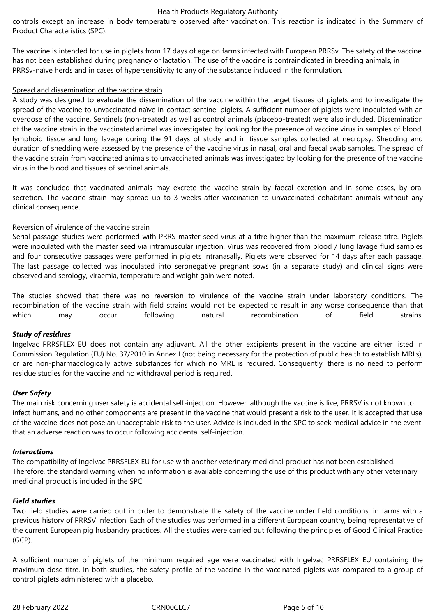controls except an increase in body temperature observed after vaccination. This reaction is indicated in the Summary of Product Characteristics (SPC).

The vaccine is intended for use in piglets from 17 days of age on farms infected with European PRRSv. The safety of the vaccine has not been established during pregnancy or lactation. The use of the vaccine is contraindicated in breeding animals, in PRRSv-naïve herds and in cases of hypersensitivity to any of the substance included in the formulation.

### Spread and dissemination of the vaccine strain

A study was designed to evaluate the dissemination of the vaccine within the target tissues of piglets and to investigate the spread of the vaccine to unvaccinated naïve in-contact sentinel piglets. A sufficient number of piglets were inoculated with an overdose of the vaccine. Sentinels (non-treated) as well as control animals (placebo-treated) were also included. Dissemination of the vaccine strain in the vaccinated animal was investigated by looking for the presence of vaccine virus in samples of blood, lymphoid tissue and lung lavage during the 91 days of study and in tissue samples collected at necropsy. Shedding and duration of shedding were assessed by the presence of the vaccine virus in nasal, oral and faecal swab samples. The spread of the vaccine strain from vaccinated animals to unvaccinated animals was investigated by looking for the presence of the vaccine virus in the blood and tissues of sentinel animals.

It was concluded that vaccinated animals may excrete the vaccine strain by faecal excretion and in some cases, by oral secretion. The vaccine strain may spread up to 3 weeks after vaccination to unvaccinated cohabitant animals without any clinical consequence.

## Reversion of virulence of the vaccine strain

Serial passage studies were performed with PRRS master seed virus at a titre higher than the maximum release titre. Piglets were inoculated with the master seed via intramuscular injection. Virus was recovered from blood / lung lavage fluid samples and four consecutive passages were performed in piglets intranasally. Piglets were observed for 14 days after each passage. The last passage collected was inoculated into seronegative pregnant sows (in a separate study) and clinical signs were observed and serology, viraemia, temperature and weight gain were noted.

The studies showed that there was no reversion to virulence of the vaccine strain under laboratory conditions. The recombination of the vaccine strain with field strains would not be expected to result in any worse consequence than that which may occur following natural recombination of field strains.

# *Study of residues*

Ingelvac PRRSFLEX EU does not contain any adjuvant. All the other excipients present in the vaccine are either listed in Commission Regulation (EU) No. 37/2010 in Annex I (not being necessary for the protection of public health to establish MRLs), or are non-pharmacologically active substances for which no MRL is required. Consequently, there is no need to perform residue studies for the vaccine and no withdrawal period is required.

# *User Safety*

The main risk concerning user safety is accidental self-injection. However, although the vaccine is live, PRRSV is not known to infect humans, and no other components are present in the vaccine that would present a risk to the user. It is accepted that use of the vaccine does not pose an unacceptable risk to the user. Advice is included in the SPC to seek medical advice in the event that an adverse reaction was to occur following accidental self-injection.

### *Interactions*

The compatibility of Ingelvac PRRSFLEX EU for use with another veterinary medicinal product has not been established. Therefore, the standard warning when no information is available concerning the use of this product with any other veterinary medicinal product is included in the SPC.

# *Field studies*

Two field studies were carried out in order to demonstrate the safety of the vaccine under field conditions, in farms with a previous history of PRRSV infection. Each of the studies was performed in a different European country, being representative of the current European pig husbandry practices. All the studies were carried out following the principles of Good Clinical Practice (GCP).

A sufficient number of piglets of the minimum required age were vaccinated with Ingelvac PRRSFLEX EU containing the maximum dose titre. In both studies, the safety profile of the vaccine in the vaccinated piglets was compared to a group of control piglets administered with a placebo.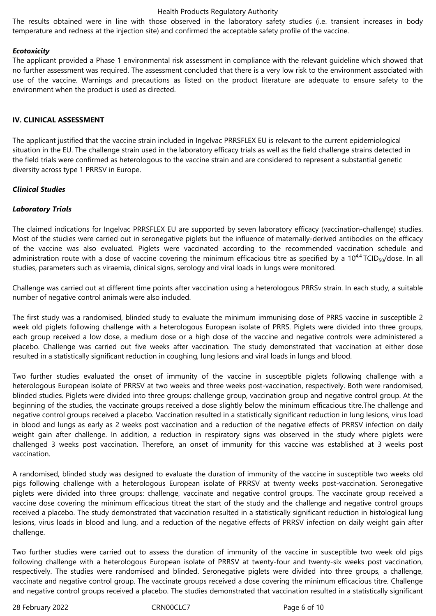The results obtained were in line with those observed in the laboratory safety studies (i.e. transient increases in body temperature and redness at the injection site) and confirmed the acceptable safety profile of the vaccine.

#### *Ecotoxicity*

The applicant provided a Phase 1 environmental risk assessment in compliance with the relevant guideline which showed that no further assessment was required. The assessment concluded that there is a very low risk to the environment associated with use of the vaccine. Warnings and precautions as listed on the product literature are adequate to ensure safety to the environment when the product is used as directed.

#### **IV. CLINICAL ASSESSMENT**

The applicant justified that the vaccine strain included in Ingelvac PRRSFLEX EU is relevant to the current epidemiological situation in the EU. The challenge strain used in the laboratory efficacy trials as well as the field challenge strains detected in the field trials were confirmed as heterologous to the vaccine strain and are considered to represent a substantial genetic diversity across type 1 PRRSV in Europe.

#### *Clinical Studies*

### *Laboratory Trials*

The claimed indications for Ingelvac PRRSFLEX EU are supported by seven laboratory efficacy (vaccination-challenge) studies. Most of the studies were carried out in seronegative piglets but the influence of maternally-derived antibodies on the efficacy of the vaccine was also evaluated. Piglets were vaccinated according to the recommended vaccination schedule and administration route with a dose of vaccine covering the minimum efficacious titre as specified by a  $10^{4.4}$  TCID<sub>50</sub>/dose. In all studies, parameters such as viraemia, clinical signs, serology and viral loads in lungs were monitored.

Challenge was carried out at different time points after vaccination using a heterologous PRRSv strain. In each study, a suitable number of negative control animals were also included.

The first study was a randomised, blinded study to evaluate the minimum immunising dose of PRRS vaccine in susceptible 2 week old piglets following challenge with a heterologous European isolate of PRRS. Piglets were divided into three groups, each group received a low dose, a medium dose or a high dose of the vaccine and negative controls were administered a placebo. Challenge was carried out five weeks after vaccination. The study demonstrated that vaccination at either dose resulted in a statistically significant reduction in coughing, lung lesions and viral loads in lungs and blood.

Two further studies evaluated the onset of immunity of the vaccine in susceptible piglets following challenge with a heterologous European isolate of PRRSV at two weeks and three weeks post-vaccination, respectively. Both were randomised, blinded studies. Piglets were divided into three groups: challenge group, vaccination group and negative control group. At the beginning of the studies, the vaccinate groups received a dose slightly below the minimum efficacious titre.The challenge and negative control groups received a placebo. Vaccination resulted in a statistically significant reduction in lung lesions, virus load in blood and lungs as early as 2 weeks post vaccination and a reduction of the negative effects of PRRSV infection on daily weight gain after challenge. In addition, a reduction in respiratory signs was observed in the study where piglets were challenged 3 weeks post vaccination. Therefore, an onset of immunity for this vaccine was established at 3 weeks post vaccination.

A randomised, blinded study was designed to evaluate the duration of immunity of the vaccine in susceptible two weeks old pigs following challenge with a heterologous European isolate of PRRSV at twenty weeks post-vaccination. Seronegative piglets were divided into three groups: challenge, vaccinate and negative control groups. The vaccinate group received a vaccine dose covering the minimum efficacious titreat the start of the study and the challenge and negative control groups received a placebo. The study demonstrated that vaccination resulted in a statistically significant reduction in histological lung lesions, virus loads in blood and lung, and a reduction of the negative effects of PRRSV infection on daily weight gain after challenge.

Two further studies were carried out to assess the duration of immunity of the vaccine in susceptible two week old pigs following challenge with a heterologous European isolate of PRRSV at twenty-four and twenty-six weeks post vaccination, respectively. The studies were randomised and blinded. Seronegative piglets were divided into three groups, a challenge, vaccinate and negative control group. The vaccinate groups received a dose covering the minimum efficacious titre. Challenge and negative control groups received a placebo. The studies demonstrated that vaccination resulted in a statistically significant

28 February 2022 **CRNOOCLC7** CRNOOCLC7 **Page 6 of 10**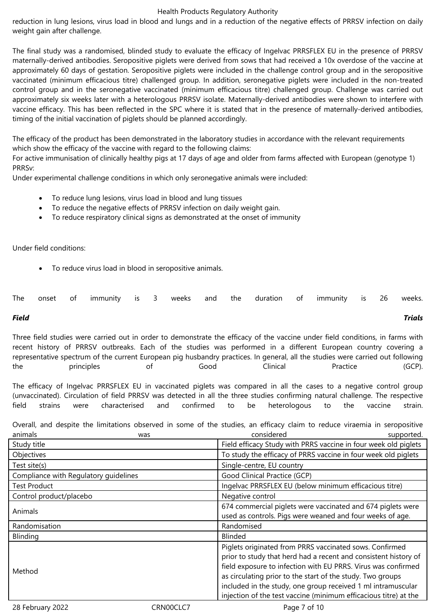reduction in lung lesions, virus load in blood and lungs and in a reduction of the negative effects of PRRSV infection on daily weight gain after challenge.

The final study was a randomised, blinded study to evaluate the efficacy of Ingelvac PRRSFLEX EU in the presence of PRRSV maternally-derived antibodies. Seropositive piglets were derived from sows that had received a 10x overdose of the vaccine at approximately 60 days of gestation. Seropositive piglets were included in the challenge control group and in the seropositive vaccinated (minimum efficacious titre) challenged group. In addition, seronegative piglets were included in the non-treated control group and in the seronegative vaccinated (minimum efficacious titre) challenged group. Challenge was carried out approximately six weeks later with a heterologous PRRSV isolate. Maternally-derived antibodies were shown to interfere with vaccine efficacy. This has been reflected in the SPC where it is stated that in the presence of maternally-derived antibodies, timing of the initial vaccination of piglets should be planned accordingly.

The efficacy of the product has been demonstrated in the laboratory studies in accordance with the relevant requirements which show the efficacy of the vaccine with regard to the following claims:

For active immunisation of clinically healthy pigs at 17 days of age and older from farms affected with European (genotype 1) PRRSv:

Under experimental challenge conditions in which only seronegative animals were included:

- To reduce lung lesions, virus load in blood and lung tissues
- To reduce the negative effects of PRRSV infection on daily weight gain.
- To reduce respiratory clinical signs as demonstrated at the onset of immunity

Under field conditions:

To reduce virus load in blood in seropositive animals.

|  | The onset of immunity is 3 weeks and the duration of immunity is 26 weeks. |  |  |  |  |  |  |
|--|----------------------------------------------------------------------------|--|--|--|--|--|--|
|  |                                                                            |  |  |  |  |  |  |

# *Field Trials*

Three field studies were carried out in order to demonstrate the efficacy of the vaccine under field conditions, in farms with recent history of PRRSV outbreaks. Each of the studies was performed in a different European country covering a representative spectrum of the current European pig husbandry practices. In general, all the studies were carried out following the principles of Good Clinical Practice (GCP).

The efficacy of Ingelvac PRRSFLEX EU in vaccinated piglets was compared in all the cases to a negative control group (unvaccinated). Circulation of field PRRSV was detected in all the three studies confirming natural challenge. The respective field strains were characterised and confirmed to be heterologous to the vaccine strain.

Overall, and despite the limitations observed in some of the studies, an efficacy claim to reduce viraemia in seropositive animals was considered supported.

| Study title                           | Field efficacy Study with PRRS vaccine in four week old piglets                                                                                                                                                                                                                                                                                                                               |
|---------------------------------------|-----------------------------------------------------------------------------------------------------------------------------------------------------------------------------------------------------------------------------------------------------------------------------------------------------------------------------------------------------------------------------------------------|
| Objectives                            | To study the efficacy of PRRS vaccine in four week old piglets                                                                                                                                                                                                                                                                                                                                |
| Test site(s)                          | Single-centre, EU country                                                                                                                                                                                                                                                                                                                                                                     |
| Compliance with Regulatory guidelines | Good Clinical Practice (GCP)                                                                                                                                                                                                                                                                                                                                                                  |
| <b>Test Product</b>                   | Ingelvac PRRSFLEX EU (below minimum efficacious titre)                                                                                                                                                                                                                                                                                                                                        |
| Control product/placebo               | Negative control                                                                                                                                                                                                                                                                                                                                                                              |
|                                       | 674 commercial piglets were vaccinated and 674 piglets were                                                                                                                                                                                                                                                                                                                                   |
| Animals                               | used as controls. Pigs were weaned and four weeks of age.                                                                                                                                                                                                                                                                                                                                     |
| Randomisation                         | Randomised                                                                                                                                                                                                                                                                                                                                                                                    |
| Blinding                              | <b>Blinded</b>                                                                                                                                                                                                                                                                                                                                                                                |
| Method                                | Piglets originated from PRRS vaccinated sows. Confirmed<br>prior to study that herd had a recent and consistent history of<br>field exposure to infection with EU PRRS. Virus was confirmed<br>as circulating prior to the start of the study. Two groups<br>included in the study, one group received 1 ml intramuscular<br>injection of the test vaccine (minimum efficacious titre) at the |
|                                       |                                                                                                                                                                                                                                                                                                                                                                                               |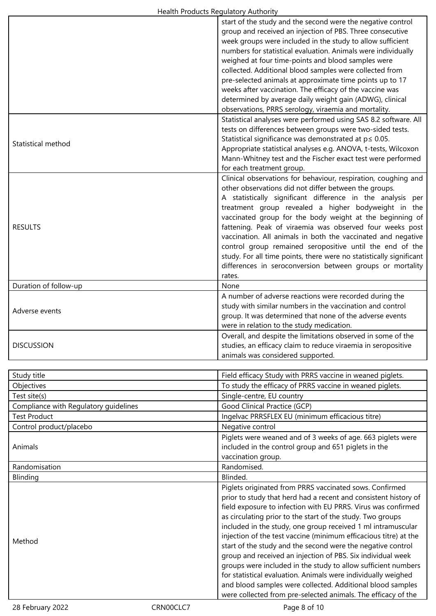| Health Houghts Regulatory Additionty  |                                                                                                                             |
|---------------------------------------|-----------------------------------------------------------------------------------------------------------------------------|
|                                       | start of the study and the second were the negative control                                                                 |
|                                       | group and received an injection of PBS. Three consecutive                                                                   |
|                                       | week groups were included in the study to allow sufficient                                                                  |
|                                       | numbers for statistical evaluation. Animals were individually                                                               |
|                                       | weighed at four time-points and blood samples were                                                                          |
|                                       |                                                                                                                             |
|                                       | collected. Additional blood samples were collected from                                                                     |
|                                       | pre-selected animals at approximate time points up to 17                                                                    |
|                                       | weeks after vaccination. The efficacy of the vaccine was                                                                    |
|                                       | determined by average daily weight gain (ADWG), clinical                                                                    |
|                                       | observations, PRRS serology, viraemia and mortality.                                                                        |
|                                       | Statistical analyses were performed using SAS 8.2 software. All                                                             |
|                                       | tests on differences between groups were two-sided tests.                                                                   |
|                                       | Statistical significance was demonstrated at $p \le 0.05$ .                                                                 |
| Statistical method                    |                                                                                                                             |
|                                       | Appropriate statistical analyses e.g. ANOVA, t-tests, Wilcoxon                                                              |
|                                       | Mann-Whitney test and the Fischer exact test were performed                                                                 |
|                                       | for each treatment group.                                                                                                   |
|                                       | Clinical observations for behaviour, respiration, coughing and                                                              |
|                                       | other observations did not differ between the groups.                                                                       |
|                                       | A statistically significant difference in the analysis per                                                                  |
|                                       | treatment group revealed a higher bodyweight in the                                                                         |
|                                       |                                                                                                                             |
|                                       | vaccinated group for the body weight at the beginning of                                                                    |
| <b>RESULTS</b>                        | fattening. Peak of viraemia was observed four weeks post                                                                    |
|                                       | vaccination. All animals in both the vaccinated and negative                                                                |
|                                       | control group remained seropositive until the end of the                                                                    |
|                                       | study. For all time points, there were no statistically significant                                                         |
|                                       | differences in seroconversion between groups or mortality                                                                   |
|                                       | rates.                                                                                                                      |
| Duration of follow-up                 | None                                                                                                                        |
|                                       |                                                                                                                             |
|                                       | A number of adverse reactions were recorded during the                                                                      |
| Adverse events                        | study with similar numbers in the vaccination and control                                                                   |
|                                       | group. It was determined that none of the adverse events                                                                    |
|                                       | were in relation to the study medication.                                                                                   |
|                                       | Overall, and despite the limitations observed in some of the                                                                |
| <b>DISCUSSION</b>                     | studies, an efficacy claim to reduce viraemia in seropositive                                                               |
|                                       | animals was considered supported.                                                                                           |
|                                       |                                                                                                                             |
|                                       | Field efficacy Study with PRRS vaccine in weaned piglets.                                                                   |
| Study title                           |                                                                                                                             |
| Objectives                            | To study the efficacy of PRRS vaccine in weaned piglets.                                                                    |
| Test site(s)                          | Single-centre, EU country                                                                                                   |
| Compliance with Regulatory guidelines | Good Clinical Practice (GCP)                                                                                                |
| <b>Test Product</b>                   | Ingelvac PRRSFLEX EU (minimum efficacious titre)                                                                            |
| Control product/placebo               | Negative control                                                                                                            |
|                                       |                                                                                                                             |
|                                       | Piglets were weaned and of 3 weeks of age. 663 piglets were                                                                 |
| Animals                               | included in the control group and 651 piglets in the                                                                        |
|                                       | vaccination group.                                                                                                          |
| Randomisation                         | Randomised.                                                                                                                 |
| Blinding                              | Blinded.                                                                                                                    |
|                                       | Piglets originated from PRRS vaccinated sows. Confirmed                                                                     |
|                                       | prior to study that herd had a recent and consistent history of                                                             |
|                                       |                                                                                                                             |
|                                       | field exposure to infection with EU PRRS. Virus was confirmed                                                               |
|                                       | as circulating prior to the start of the study. Two groups                                                                  |
|                                       | included in the study, one group received 1 ml intramuscular                                                                |
|                                       | injection of the test vaccine (minimum efficacious titre) at the                                                            |
| Method                                | start of the study and the second were the negative control                                                                 |
|                                       | group and received an injection of PBS. Six individual week                                                                 |
|                                       |                                                                                                                             |
|                                       |                                                                                                                             |
|                                       | groups were included in the study to allow sufficient numbers                                                               |
|                                       | for statistical evaluation. Animals were individually weighed                                                               |
|                                       | and blood samples were collected. Additional blood samples<br>were collected from pre-selected animals. The efficacy of the |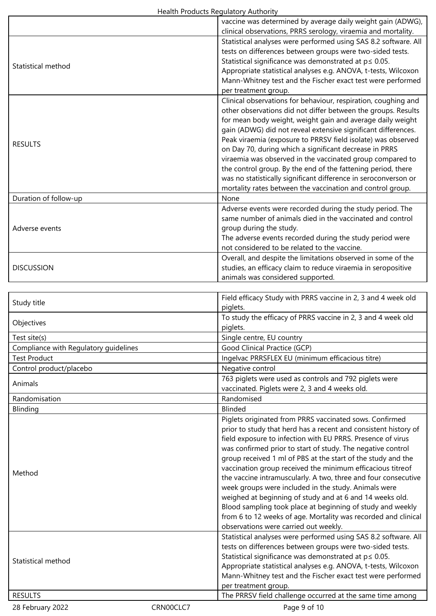|                                       |           | vaccine was determined by average daily weight gain (ADWG),                                                                  |
|---------------------------------------|-----------|------------------------------------------------------------------------------------------------------------------------------|
|                                       |           | clinical observations, PRRS serology, viraemia and mortality.                                                                |
|                                       |           | Statistical analyses were performed using SAS 8.2 software. All                                                              |
| Statistical method                    |           | tests on differences between groups were two-sided tests.                                                                    |
|                                       |           | Statistical significance was demonstrated at $p \le 0.05$ .                                                                  |
|                                       |           | Appropriate statistical analyses e.g. ANOVA, t-tests, Wilcoxon                                                               |
|                                       |           | Mann-Whitney test and the Fischer exact test were performed                                                                  |
|                                       |           | per treatment group.                                                                                                         |
|                                       |           | Clinical observations for behaviour, respiration, coughing and                                                               |
|                                       |           | other observations did not differ between the groups. Results<br>for mean body weight, weight gain and average daily weight  |
|                                       |           | gain (ADWG) did not reveal extensive significant differences.                                                                |
|                                       |           | Peak viraemia (exposure to PRRSV field isolate) was observed                                                                 |
| <b>RESULTS</b>                        |           | on Day 70, during which a significant decrease in PRRS                                                                       |
|                                       |           | viraemia was observed in the vaccinated group compared to                                                                    |
|                                       |           | the control group. By the end of the fattening period, there                                                                 |
|                                       |           | was no statistically significant difference in seroconverson or                                                              |
|                                       |           | mortality rates between the vaccination and control group.                                                                   |
| Duration of follow-up                 |           | None                                                                                                                         |
|                                       |           | Adverse events were recorded during the study period. The                                                                    |
|                                       |           | same number of animals died in the vaccinated and control                                                                    |
| Adverse events                        |           | group during the study.<br>The adverse events recorded during the study period were                                          |
|                                       |           | not considered to be related to the vaccine.                                                                                 |
|                                       |           | Overall, and despite the limitations observed in some of the                                                                 |
| <b>DISCUSSION</b>                     |           | studies, an efficacy claim to reduce viraemia in seropositive                                                                |
|                                       |           | animals was considered supported.                                                                                            |
|                                       |           |                                                                                                                              |
|                                       |           | Field efficacy Study with PRRS vaccine in 2, 3 and 4 week old                                                                |
| Study title                           |           | piglets.                                                                                                                     |
| Objectives                            |           | To study the efficacy of PRRS vaccine in 2, 3 and 4 week old                                                                 |
|                                       |           | piglets.                                                                                                                     |
| Test site(s)                          |           | Single centre, EU country                                                                                                    |
| Compliance with Regulatory guidelines |           | Good Clinical Practice (GCP)                                                                                                 |
| <b>Test Product</b>                   |           | Ingelvac PRRSFLEX EU (minimum efficacious titre)                                                                             |
| Control product/placebo               |           | Negative control                                                                                                             |
| Animals                               |           | 763 piglets were used as controls and 792 piglets were<br>vaccinated. Piglets were 2, 3 and 4 weeks old.                     |
| Randomisation                         |           | Randomised                                                                                                                   |
| Blinding                              |           | <b>Blinded</b>                                                                                                               |
|                                       |           | Piglets originated from PRRS vaccinated sows. Confirmed                                                                      |
|                                       |           | prior to study that herd has a recent and consistent history of                                                              |
|                                       |           | field exposure to infection with EU PRRS. Presence of virus                                                                  |
|                                       |           | was confirmed prior to start of study. The negative control                                                                  |
|                                       |           | group received 1 ml of PBS at the start of the study and the                                                                 |
| Method                                |           | vaccination group received the minimum efficacious titreof                                                                   |
|                                       |           | the vaccine intramuscularly. A two, three and four consecutive                                                               |
|                                       |           | week groups were included in the study. Animals were                                                                         |
|                                       |           | weighed at beginning of study and at 6 and 14 weeks old.                                                                     |
|                                       |           | Blood sampling took place at beginning of study and weekly<br>from 6 to 12 weeks of age. Mortality was recorded and clinical |
|                                       |           | observations were carried out weekly.                                                                                        |
|                                       |           | Statistical analyses were performed using SAS 8.2 software. All                                                              |
|                                       |           | tests on differences between groups were two-sided tests.                                                                    |
|                                       |           | Statistical significance was demonstrated at $p \leq 0.05$ .                                                                 |
| Statistical method                    |           | Appropriate statistical analyses e.g. ANOVA, t-tests, Wilcoxon                                                               |
|                                       |           | Mann-Whitney test and the Fischer exact test were performed                                                                  |
|                                       |           | per treatment group.                                                                                                         |
| <b>RESULTS</b>                        |           | The PRRSV field challenge occurred at the same time among                                                                    |
| 28 February 2022                      | CRN00CLC7 | Page 9 of 10                                                                                                                 |